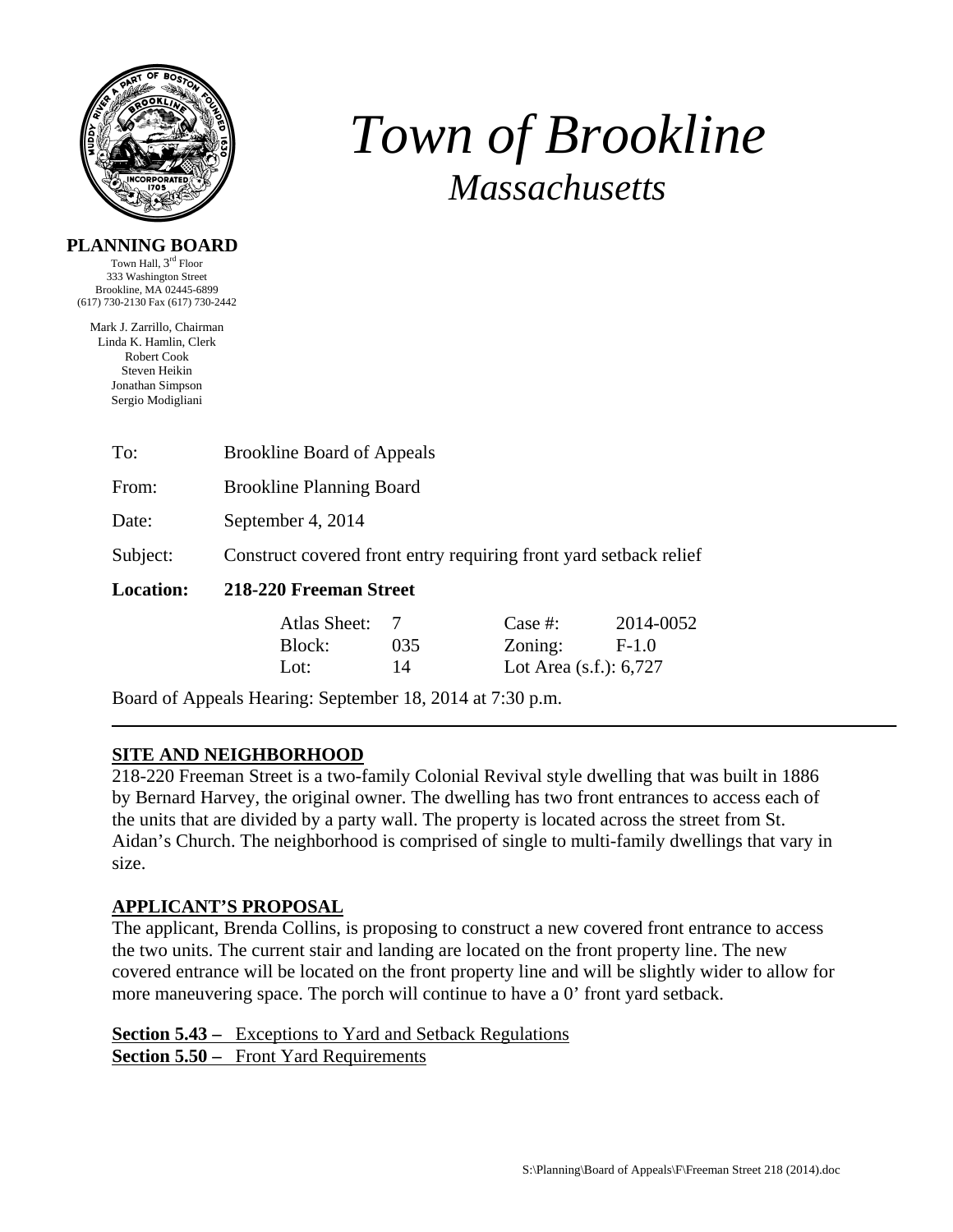

# *Town of Brookline Massachusetts*

#### **PLANNING BOARD**

Town Hall, 3rd Floor 333 Washington Street Brookline, MA 02445-6899 (617) 730-2130 Fax (617) 730-2442

Mark J. Zarrillo, Chairman Linda K. Hamlin, Clerk Robert Cook Steven Heikin Jonathan Simpson Sergio Modigliani

| To:              | <b>Brookline Board of Appeals</b>                                 |     |            |           |  |  |
|------------------|-------------------------------------------------------------------|-----|------------|-----------|--|--|
| From:            | <b>Brookline Planning Board</b>                                   |     |            |           |  |  |
| Date:            | September 4, 2014                                                 |     |            |           |  |  |
| Subject:         | Construct covered front entry requiring front yard setback relief |     |            |           |  |  |
| <b>Location:</b> | 218-220 Freeman Street                                            |     |            |           |  |  |
|                  | Atlas Sheet:                                                      |     | Case $#$ : | 2014-0052 |  |  |
|                  | Block:                                                            | 035 | Zoning:    | $F-1.0$   |  |  |

Board of Appeals Hearing: September 18, 2014 at 7:30 p.m.

## **SITE AND NEIGHBORHOOD**

218-220 Freeman Street is a two-family Colonial Revival style dwelling that was built in 1886 by Bernard Harvey, the original owner. The dwelling has two front entrances to access each of the units that are divided by a party wall. The property is located across the street from St. Aidan's Church. The neighborhood is comprised of single to multi-family dwellings that vary in size.

Lot: 14 Lot Area (s.f.): 6,727

## **APPLICANT'S PROPOSAL**

The applicant, Brenda Collins, is proposing to construct a new covered front entrance to access the two units. The current stair and landing are located on the front property line. The new covered entrance will be located on the front property line and will be slightly wider to allow for more maneuvering space. The porch will continue to have a 0' front yard setback.

**Section 5.43 –** Exceptions to Yard and Setback Regulations **Section 5.50 –** Front Yard Requirements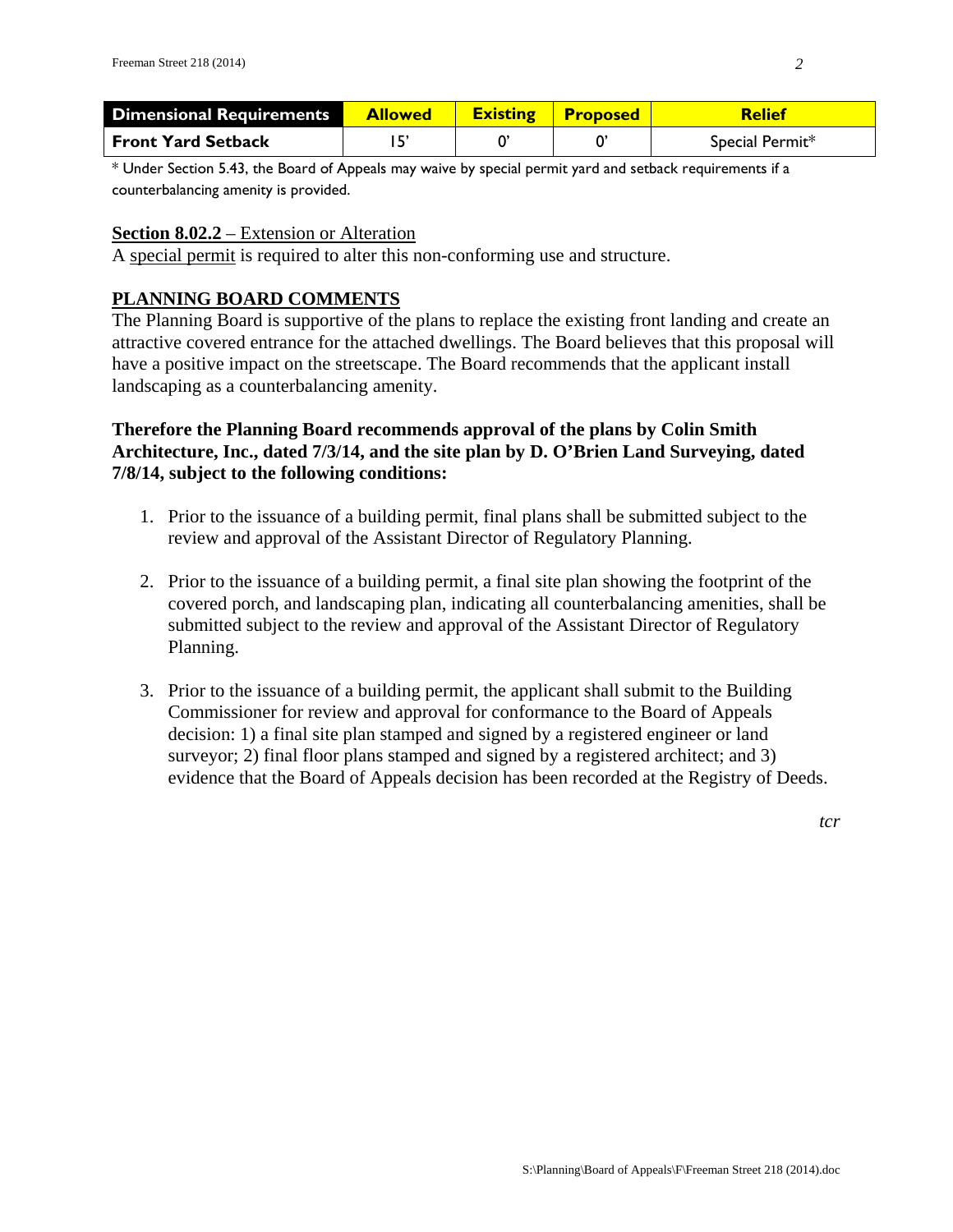| <b>Dimensional Requirements</b> | <b>Allowed</b> | <b>Existing Proposed</b> | <b>Relief</b>   |
|---------------------------------|----------------|--------------------------|-----------------|
| <b>Front Yard Setback</b>       |                |                          | Special Permit* |

\* Under Section 5.43, the Board of Appeals may waive by special permit yard and setback requirements if a counterbalancing amenity is provided.

#### **Section 8.02.2** – Extension or Alteration

A special permit is required to alter this non-conforming use and structure.

## **PLANNING BOARD COMMENTS**

The Planning Board is supportive of the plans to replace the existing front landing and create an attractive covered entrance for the attached dwellings. The Board believes that this proposal will have a positive impact on the streetscape. The Board recommends that the applicant install landscaping as a counterbalancing amenity.

#### **Therefore the Planning Board recommends approval of the plans by Colin Smith Architecture, Inc., dated 7/3/14, and the site plan by D. O'Brien Land Surveying, dated 7/8/14, subject to the following conditions:**

- 1. Prior to the issuance of a building permit, final plans shall be submitted subject to the review and approval of the Assistant Director of Regulatory Planning.
- 2. Prior to the issuance of a building permit, a final site plan showing the footprint of the covered porch, and landscaping plan, indicating all counterbalancing amenities, shall be submitted subject to the review and approval of the Assistant Director of Regulatory Planning.
- 3. Prior to the issuance of a building permit, the applicant shall submit to the Building Commissioner for review and approval for conformance to the Board of Appeals decision: 1) a final site plan stamped and signed by a registered engineer or land surveyor; 2) final floor plans stamped and signed by a registered architect; and 3) evidence that the Board of Appeals decision has been recorded at the Registry of Deeds.